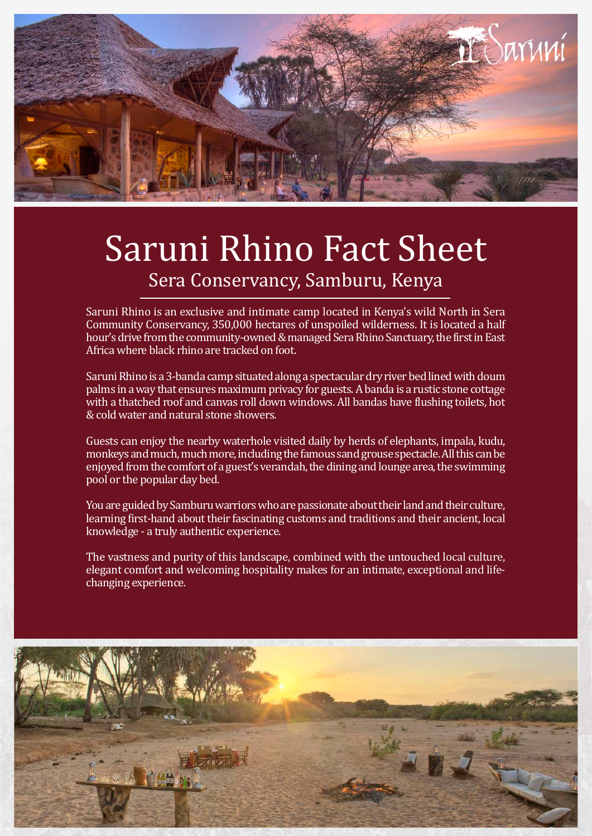

## Saruni Rhino Fact Sheet Sera Conservancy, Samburu, Kenya

Saruni Rhino is an exclusive and intimate camp located in Kenya's wild North in Sera Community Conservancy, 350,000 hectares of unspoiled wilderness. It is located a half hour's drive from the community-owned & managed Sera Rhino Sanctuary, the first in East Africa where black rhino are tracked on foot.

Saruni Rhino is a 3-banda camp situated along a spectacular dry river bed lined with doum palms in a way that ensures maximum privacy for guests. A banda is a rustic stone cottage with a thatched roof and canvas roll down windows. All bandas have flushing toilets, hot & cold water and natural stone showers.

Guests can enjoy the nearby waterhole visited daily by herds of elephants, impala, kudu, monkeys and much, much more, including the famous sand grouse spectacle. All this can be enjoyed from the comfort of a guest's verandah, the dining and lounge area, the swimming pool or the popular day bed.

You are guided by Samburu warriors who are passionate about their land and their culture, learning first-hand about their fascinating customs and traditions and their ancient, local knowledge - a truly authentic experience.

The vastness and purity of this landscape, combined with the untouched local culture, elegant comfort and welcoming hospitality makes for an intimate, exceptional and lifechanging experience.

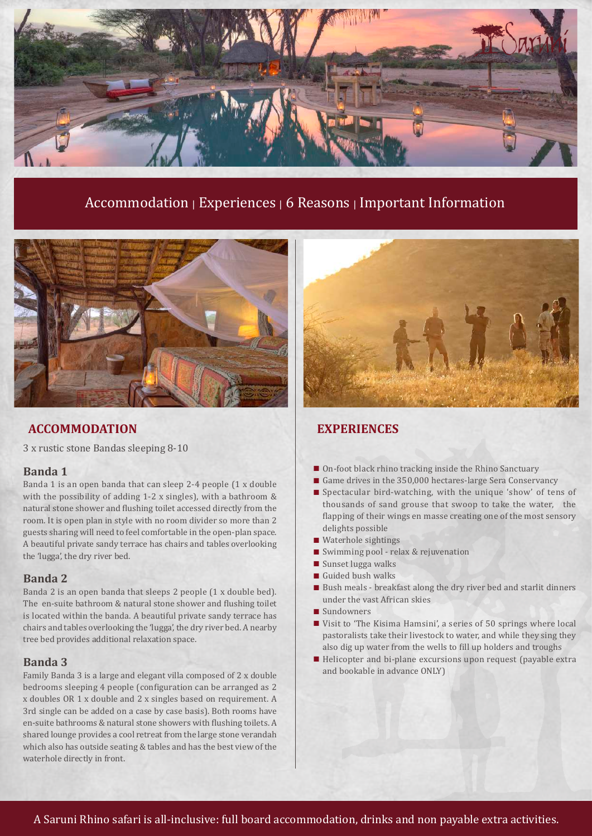

### Accommodation | Experiences | 6 Reasons | Important Information



### **ACCOMMODATION EXPERIENCES**

3 x rustic stone Bandas sleeping 8-10

### **Banda 1**

Banda 1 is an open banda that can sleep 2-4 people (1 x double with the possibility of adding 1-2 x singles), with a bathroom & natural stone shower and flushing toilet accessed directly from the room. It is open plan in style with no room divider so more than 2 guests sharing will need to feel comfortable in the open-plan space. A beautiful private sandy terrace has chairs and tables overlooking the 'lugga', the dry river bed.

### **Banda 2**

Banda 2 is an open banda that sleeps 2 people (1 x double bed). The en-suite bathroom & natural stone shower and flushing toilet is located within the banda. A beautiful private sandy terrace has chairs and tables overlooking the 'lugga', the dry river bed. A nearby tree bed provides additional relaxation space.

### **Banda 3**

Family Banda 3 is a large and elegant villa composed of 2 x double bedrooms sleeping 4 people (configuration can be arranged as 2 x doubles OR 1 x double and 2 x singles based on requirement. A 3rd single can be added on a case by case basis). Both rooms have en-suite bathrooms & natural stone showers with flushing toilets. A shared lounge provides a cool retreat from the large stone verandah which also has outside seating & tables and has the best view of the waterhole directly in front.



- On-foot black rhino tracking inside the Rhino Sanctuary
- Game drives in the 350,000 hectares-large Sera Conservancy
- Spectacular bird-watching, with the unique 'show' of tens of thousands of sand grouse that swoop to take the water, the flapping of their wings en masse creating one of the most sensory delights possible
- Waterhole sightings
- Swimming pool relax & rejuvenation
- Sunset lugga walks
- Guided bush walks
- $\blacksquare$  Bush meals breakfast along the dry river bed and starlit dinners under the vast African skies
- Sundowners
- Visit to 'The Kisima Hamsini', a series of 50 springs where local pastoralists take their livestock to water, and while they sing they also dig up water from the wells to fill up holders and troughs
- Helicopter and bi-plane excursions upon request (payable extra and bookable in advance ONLY)

A Saruni Rhino safari is all-inclusive: full board accommodation, drinks and non payable extra activities.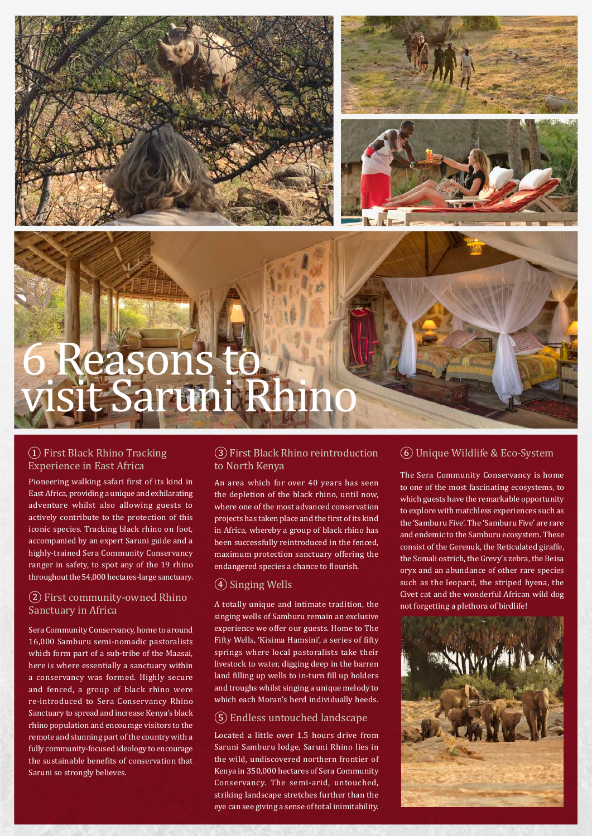

# 6 Reasons to visit Saruni Rhino

### ① First Black Rhino Tracking Experience in East Africa

Pioneering walking safari first of its kind in East Africa, providing a unique and exhilarating adventure whilst also allowing guests to actively contribute to the protection of this iconic species. Tracking black rhino on foot, accompanied by an expert Saruni guide and a highly-trained Sera Community Conservancy ranger in safety, to spot any of the 19 rhino throughout the 54,000 hectares-large sanctuary.

### (2) First community-owned Rhino<br>A totally unique and intimate tradition, the expression of birdlife!<br>Sanctuary in Africa Sanctuary in Africa

Sera Community Conservancy, home to around 16,000 Samburu semi-nomadic pastoralists which form part of a sub-tribe of the Maasai, here is where essentially a sanctuary within a conservancy was formed. Highly secure and fenced, a group of black rhino were re-introduced to Sera Conservancy Rhino Sanctuary to spread and increase Kenya's black rhino population and encourage visitors to the remote and stunning part of the country with a fully community-focused ideology to encourage the sustainable benefits of conservation that Saruni so strongly believes.

### ③First Black Rhino reintroduction to North Kenya

An area which for over 40 years has seen the depletion of the black rhino, until now, where one of the most advanced conservation projects has taken place and the first of its kind in Africa, whereby a group of black rhino has been successfully reintroduced in the fenced, maximum protection sanctuary offering the endangered species a chance to flourish.

### ④ Singing Wells

singing wells of Samburu remain an exclusive experience we offer our guests. Home to The Fifty Wells, 'Kisima Hamsini', a series of fifty springs where local pastoralists take their livestock to water, digging deep in the barren land filling up wells to in-turn fill up holders and troughs whilst singing a unique melody to which each Moran's herd individually heeds.

### ⑤ Endless untouched landscape

Located a little over 1.5 hours drive from Saruni Samburu lodge, Saruni Rhino lies in the wild, undiscovered northern frontier of Kenya in 350,000 hectares of Sera Community Conservancy. The semi-arid, untouched, striking landscape stretches further than the eye can see giving a sense of total inimitability.

### ⑥ Unique Wildlife & Eco-System

The Sera Community Conservancy is home to one of the most fascinating ecosystems, to which guests have the remarkable opportunity to explore with matchless experiences such as the 'Samburu Five'. The 'Samburu Five' are rare and endemic to the Samburu ecosystem. These consist of the Gerenuk, the Reticulated giraffe, the Somali ostrich, the Grevy's zebra, the Beisa oryx and an abundance of other rare species such as the leopard, the striped hyena, the Civet cat and the wonderful African wild dog